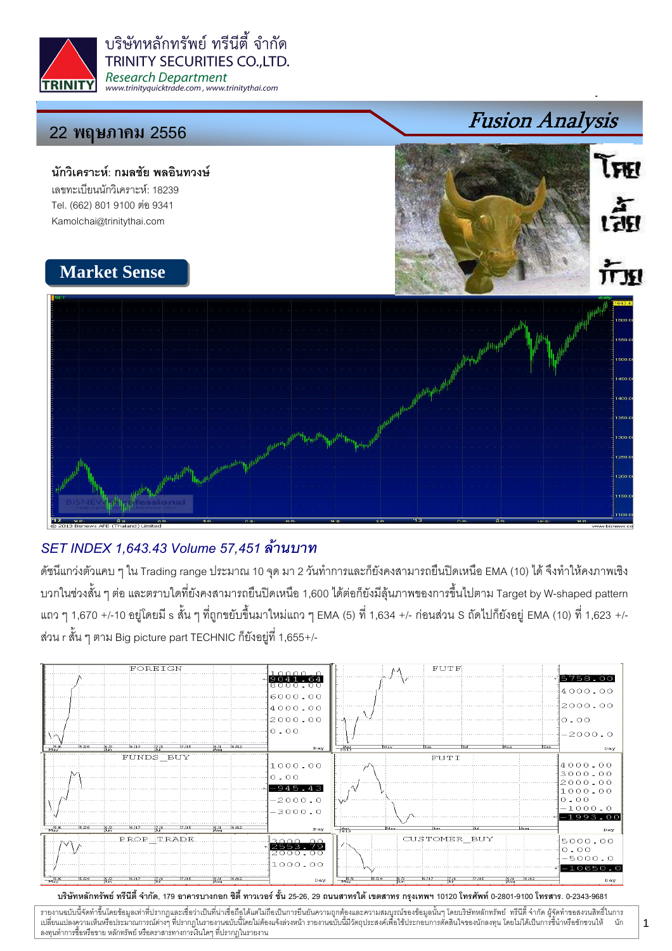

บริษัทหลักทรัพย์ ทรีนีตี้ จำกัด **TRINITY SECURITIES CO..LTD. Research Department** www.trinityquicktrade.com, www.trinitythai.com

## 22 พฤษภา<mark>คม</mark> 2556

นักวิเคราะห์: กมลชัย พลอินทวงษ์ เลขทะเบียนนักวิเคราะห์: 18239 Tel. (662) 801 9100 ต่อ 9341 Kamolchai@trinitythai.com

# Fusion Analysis **TERI** เส็ต 而现

## **Market Sense**



## SET INDEX 1,643.43 Volume 57,451

ดัชนีแกว่งตัวแคบ ๆ ใน Trading range ประมาณ 10 จุด มา 2 วันทำการและก็ยังคงสามารถยืนปิดเหนือ EMA (10) ได้ จึงทำให้คงภาพเชิง บวกในช่วงสั้น ๆ ต่อ และตราบใดที่ยังคงสามารถยืนปิดเหนือ 1,600 ได้ต่อก็ยังมีลุ้นภาพของการขึ้นไปตาม Target by W-shaped pattern แถว ๆ 1,670 +/-10 อยู่โดยมี s สั้น ๆ ที่ถูกขยับขึ้นมาใหม่แถว ๆ EMA (5) ที่ 1,634 +/- ก่อนส่วน S ถัดไปก็ยังอยู่ EMA (10) ที่ 1,623 +/-ส่วน r สั้น ๆ ตาม Big picture part TECHNIC ก็ยังอยู่ที่ 1,655+/-



บริษัทหลักทรัพย์ ทรีนีตี้ จำกัด, 179 อาคารบางกอก ซิตี้ ทาวเวอร์ ชั้น 25-26, 29 ถนนสาทรใต้ เตตสาห กรุงเทพฯ 10120 โทรศัพท์ 0-2801-9100 โทรสาร. 0-2343-9681

รายงานฉบับนี้จัดทำขึ้นโดยข้อมูลเท่าที่ปรากฏและเชื่อว่าเป็นที่มากขึ้นตั้งเป็นก็ตะบนการตารามสมบูรณ์ของข้อมูลนั้นๆ โดยบริษัทหลักทรัพย์ ทรีนี้ตี้จำกัด ผู้จัดทำขอสงวนสิทธิ์ในการ i เปลี่ยนแปลงความเห็นหรือประมาณการณ์ต่างๆ ที่ปรากฏในรายงานอบับนี้โดย การกระบบกันไม่ได้รับระบบการตัดสินใจของนักลงทุน โดยไม่ได้เป็นการขึ้นำหรือขักชวนให้ นัก ลงทุนทำการซื้อหรือขาย หลักทรัพย์ หรือตราสารทางการเงินใดๆ ที่ปรากฏในรายงาน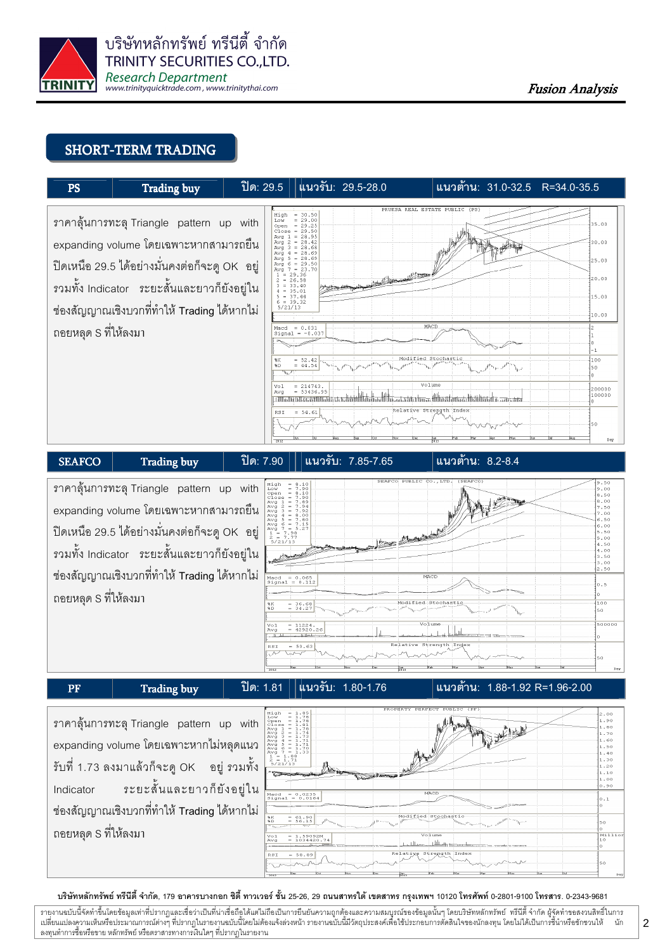

#### SHORT-TERM TRADING





ราคาลุ้นการทะลุ Triangle pattern up with expanding volume โดยเฉพาะหากไม่หลุดแนว รับที่ 1.73 ลงมาแล้วก็จะดู OK อยู่ ร ้อย่ รวมทั้ง Indicator -ระยะสั้นและยาวก็ยังอย่ใน ช่องสัญญาณเชิงบวกที่ทำให้ Trading ได้หากไม่ ถอยหลุด S ที่ให้ลงมา



#### บริษัทหลักทรัพย์ ทรีนีตี้ จำกัด, 179 อาคารบางกอก ซิตี้ ทาวเวอร์ ชั้น 25-26, 29 ถนนสาทรใต้ เตตสาห กรุงเทพฯ 10120 โทรศัพท์ 0-2801-9100 โทรสาร. 0-2343-9681

รายงานฉบับนี้จัดทำขึ้นโดยข้อมูลเท่าที่ปรากฏและเชื่อว่าเป็นที่มากขึ้นตั้งเป็นก็ตะบนการตารามสมบูรณ์ของข้อมูลนั้นๆ โดยบริษัทหลักทรัพย์ ทรีนี้ตี้จำกัด ผู้จัดทำขอสงวนสิทธิ์ในการ i เปลี่ยนแปลงความเห็นหรือประมาณการณ์ต่างๆ ที่ปรากฏในรายงานอบับนี้โดย การกระบบกันไม่ได้รับระบบการตัดสินใจของนักลงทุน โดยไม่ได้เป็นการขึ้นำหรือขักชวนให้ นัก ลงทุนทำการซื้อหรือขาย หลักทรัพย์ หรือตราสารทางการเงินใดๆ ที่ปรากฏในรายงาน